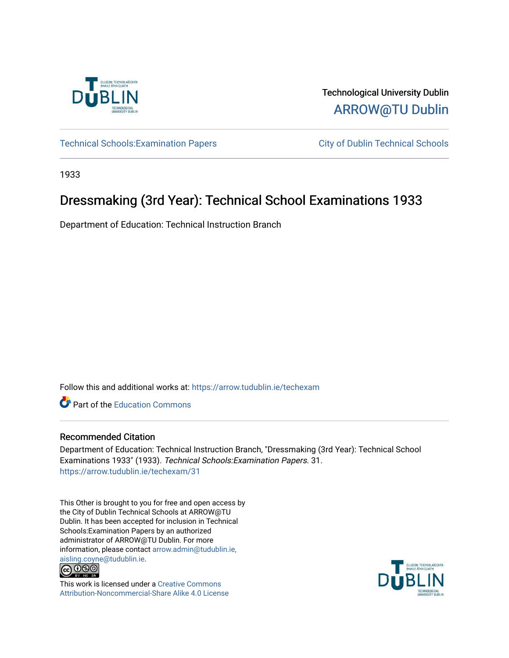

Technological University Dublin [ARROW@TU Dublin](https://arrow.tudublin.ie/) 

Technical Schools: Examination Papers City of Dublin Technical Schools

1933

# Dressmaking (3rd Year): Technical School Examinations 1933

Department of Education: Technical Instruction Branch

Follow this and additional works at: [https://arrow.tudublin.ie/techexam](https://arrow.tudublin.ie/techexam?utm_source=arrow.tudublin.ie%2Ftechexam%2F31&utm_medium=PDF&utm_campaign=PDFCoverPages) 

Part of the [Education Commons](http://network.bepress.com/hgg/discipline/784?utm_source=arrow.tudublin.ie%2Ftechexam%2F31&utm_medium=PDF&utm_campaign=PDFCoverPages)

## Recommended Citation

Department of Education: Technical Instruction Branch, "Dressmaking (3rd Year): Technical School Examinations 1933" (1933). Technical Schools:Examination Papers. 31. [https://arrow.tudublin.ie/techexam/31](https://arrow.tudublin.ie/techexam/31?utm_source=arrow.tudublin.ie%2Ftechexam%2F31&utm_medium=PDF&utm_campaign=PDFCoverPages)

This Other is brought to you for free and open access by the City of Dublin Technical Schools at ARROW@TU Dublin. It has been accepted for inclusion in Technical Schools:Examination Papers by an authorized administrator of ARROW@TU Dublin. For more information, please contact [arrow.admin@tudublin.ie,](mailto:arrow.admin@tudublin.ie,%20aisling.coyne@tudublin.ie)  [aisling.coyne@tudublin.ie.](mailto:arrow.admin@tudublin.ie,%20aisling.coyne@tudublin.ie)<br>© 090



This work is licensed under a [Creative Commons](http://creativecommons.org/licenses/by-nc-sa/4.0/) [Attribution-Noncommercial-Share Alike 4.0 License](http://creativecommons.org/licenses/by-nc-sa/4.0/)